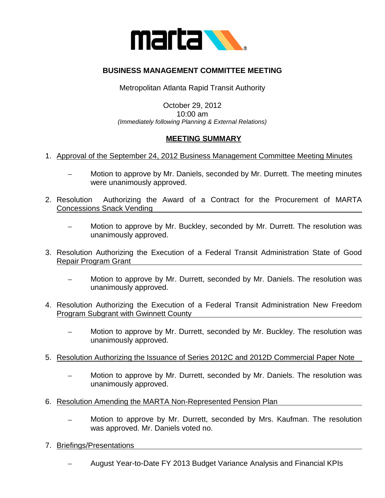

## **BUSINESS MANAGEMENT COMMITTEE MEETING**

Metropolitan Atlanta Rapid Transit Authority

## October 29, 2012 10:00 am *(Immediately following Planning & External Relations)*

## **MEETING SUMMARY**

- 1. Approval of the September 24, 2012 Business Management Committee Meeting Minutes
	- Motion to approve by Mr. Daniels, seconded by Mr. Durrett. The meeting minutes were unanimously approved.
- 2. Resolution Authorizing the Award of a Contract for the Procurement of MARTA Concessions Snack Vending
	- Motion to approve by Mr. Buckley, seconded by Mr. Durrett. The resolution was  $\equiv$ unanimously approved.
- 3. Resolution Authorizing the Execution of a Federal Transit Administration State of Good Repair Program Grant
	- Motion to approve by Mr. Durrett, seconded by Mr. Daniels. The resolution was unanimously approved.
- 4. Resolution Authorizing the Execution of a Federal Transit Administration New Freedom Program Subgrant with Gwinnett County
	- Motion to approve by Mr. Durrett, seconded by Mr. Buckley. The resolution was unanimously approved.
- 5. Resolution Authorizing the Issuance of Series 2012C and 2012D Commercial Paper Note
	- Motion to approve by Mr. Durrett, seconded by Mr. Daniels. The resolution was unanimously approved.
- 6. Resolution Amending the MARTA Non-Represented Pension Plan
	- Motion to approve by Mr. Durrett, seconded by Mrs. Kaufman. The resolution was approved. Mr. Daniels voted no.
- 7. Briefings/Presentations
	- August Year-to-Date FY 2013 Budget Variance Analysis and Financial KPIs